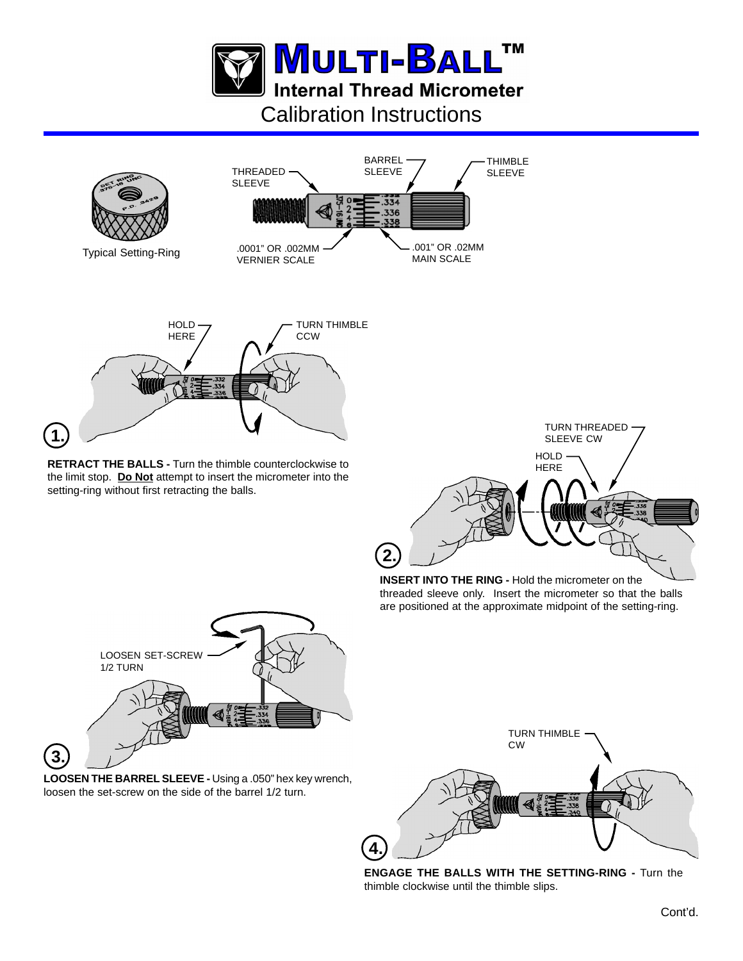



**LOOSEN THE BARREL SLEEVE -** Using a .050" hex key wrench, loosen the set-screw on the side of the barrel 1/2 turn.

**3.**



**ENGAGE THE BALLS WITH THE SETTING-RING -** Turn the thimble clockwise until the thimble slips.